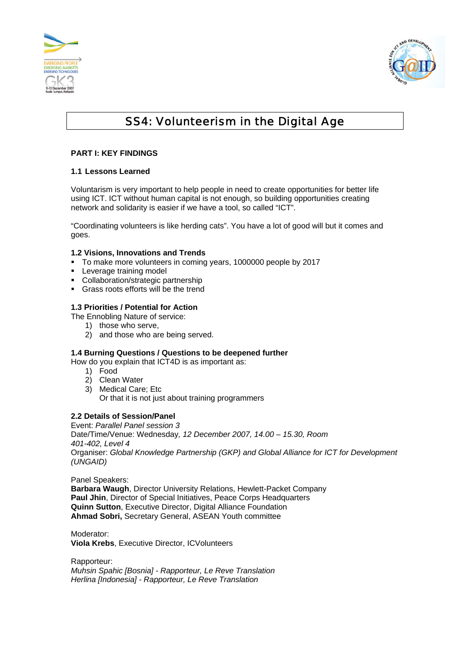



# SS4: Volunteerism in the Digital Age

# **PART I: KEY FINDINGS**

# **1.1 Lessons Learned**

Voluntarism is very important to help people in need to create opportunities for better life using ICT. ICT without human capital is not enough, so building opportunities creating network and solidarity is easier if we have a tool, so called "ICT".

"Coordinating volunteers is like herding cats". You have a lot of good will but it comes and goes.

## **1.2 Visions, Innovations and Trends**

- To make more volunteers in coming years, 1000000 people by 2017
- **Leverage training model**
- Collaboration/strategic partnership
- Grass roots efforts will be the trend

## **1.3 Priorities / Potential for Action**

- The Ennobling Nature of service:
	- 1) those who serve,
	- 2) and those who are being served.

# **1.4 Burning Questions / Questions to be deepened further**

How do you explain that ICT4D is as important as:

- 1) Food
- 2) Clean Water
- 3) Medical Care; Etc Or that it is not just about training programmers

## **2.2 Details of Session/Panel**

Event: *Parallel Panel session 3*  Date/Time/Venue: Wednesday*, 12 December 2007, 14.00 – 15.30, Room 401-402, Level 4*  Organiser: *Global Knowledge Partnership (GKP) and Global Alliance for ICT for Development (UNGAID)* 

Panel Speakers:

**Barbara Waugh**, Director University Relations, Hewlett-Packet Company **Paul Jhin**, Director of Special Initiatives, Peace Corps Headquarters **Quinn Sutton**, Executive Director, Digital Alliance Foundation **Ahmad Sobri,** Secretary General, ASEAN Youth committee

Moderator: **Viola Krebs**, Executive Director, ICVolunteers

Rapporteur: *Muhsin Spahic [Bosnia] - Rapporteur, Le Reve Translation Herlina [Indonesia] - Rapporteur, Le Reve Translation*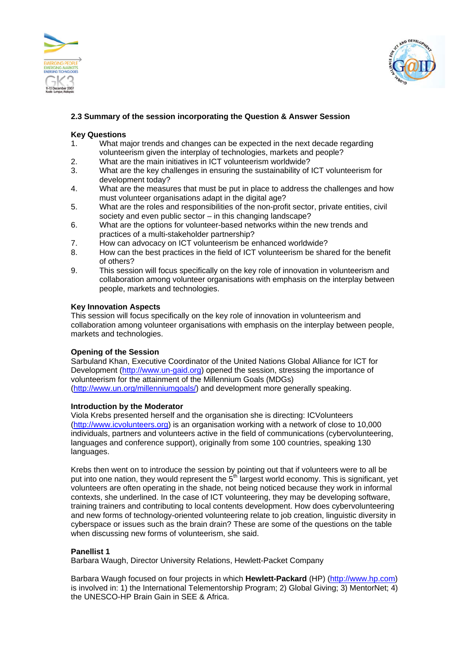



# **2.3 Summary of the session incorporating the Question & Answer Session**

#### **Key Questions**

- 1. What major trends and changes can be expected in the next decade regarding volunteerism given the interplay of technologies, markets and people?
- 2. What are the main initiatives in ICT volunteerism worldwide?
- 3. What are the key challenges in ensuring the sustainability of ICT volunteerism for development today?
- 4. What are the measures that must be put in place to address the challenges and how must volunteer organisations adapt in the digital age?
- 5. What are the roles and responsibilities of the non-profit sector, private entities, civil society and even public sector – in this changing landscape?
- 6. What are the options for volunteer-based networks within the new trends and practices of a multi-stakeholder partnership?
- 7. How can advocacy on ICT volunteerism be enhanced worldwide?
- 8. How can the best practices in the field of ICT volunteerism be shared for the benefit of others?
- 9. This session will focus specifically on the key role of innovation in volunteerism and collaboration among volunteer organisations with emphasis on the interplay between people, markets and technologies.

## **Key Innovation Aspects**

This session will focus specifically on the key role of innovation in volunteerism and collaboration among volunteer organisations with emphasis on the interplay between people, markets and technologies.

## **Opening of the Session**

Sarbuland Khan, Executive Coordinator of the United Nations Global Alliance for ICT for Development (http://www.un-gaid.org) opened the session, stressing the importance of volunteerism for the attainment of the Millennium Goals (MDGs) (http://www.un.org/millenniumgoals/) and development more generally speaking.

#### **Introduction by the Moderator**

Viola Krebs presented herself and the organisation she is directing: ICVolunteers (http://www.icvolunteers.org) is an organisation working with a network of close to 10,000 individuals, partners and volunteers active in the field of communications (cybervolunteering, languages and conference support), originally from some 100 countries, speaking 130 languages.

Krebs then went on to introduce the session by pointing out that if volunteers were to all be put into one nation, they would represent the  $5<sup>th</sup>$  largest world economy. This is significant, yet volunteers are often operating in the shade, not being noticed because they work in informal contexts, she underlined. In the case of ICT volunteering, they may be developing software, training trainers and contributing to local contents development. How does cybervolunteering and new forms of technology-oriented volunteering relate to job creation, linguistic diversity in cyberspace or issues such as the brain drain? These are some of the questions on the table when discussing new forms of volunteerism, she said.

## **Panellist 1**

Barbara Waugh, Director University Relations, Hewlett-Packet Company

Barbara Waugh focused on four projects in which **Hewlett-Packard** (HP) (http://www.hp.com) is involved in: 1) the International Telementorship Program; 2) Global Giving; 3) MentorNet; 4) the UNESCO-HP Brain Gain in SEE & Africa.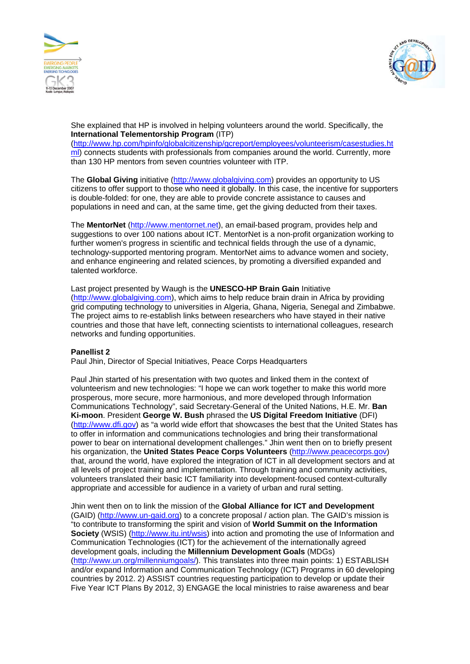



She explained that HP is involved in helping volunteers around the world. Specifically, the **International Telementorship Program** (ITP)

(http://www.hp.com/hpinfo/globalcitizenship/gcreport/employees/volunteerism/casestudies.ht ml) connects students with professionals from companies around the world. Currently, more than 130 HP mentors from seven countries volunteer with ITP.

The **Global Giving** initiative (http://www.globalgiving.com) provides an opportunity to US citizens to offer support to those who need it globally. In this case, the incentive for supporters is double-folded: for one, they are able to provide concrete assistance to causes and populations in need and can, at the same time, get the giving deducted from their taxes.

The **MentorNet** (http://www.mentornet.net), an email-based program, provides help and suggestions to over 100 nations about ICT. MentorNet is a non-profit organization working to further women's progress in scientific and technical fields through the use of a dynamic, technology-supported mentoring program. MentorNet aims to advance women and society, and enhance engineering and related sciences, by promoting a diversified expanded and talented workforce.

Last project presented by Waugh is the **UNESCO-HP Brain Gain** Initiative (http://www.globalgiving.com), which aims to help reduce brain drain in Africa by providing grid computing technology to universities in Algeria, Ghana, Nigeria, Senegal and Zimbabwe. The project aims to re-establish links between researchers who have stayed in their native countries and those that have left, connecting scientists to international colleagues, research networks and funding opportunities.

## **Panellist 2**

Paul Jhin, Director of Special Initiatives, Peace Corps Headquarters

Paul Jhin started of his presentation with two quotes and linked them in the context of volunteerism and new technologies: "I hope we can work together to make this world more prosperous, more secure, more harmonious, and more developed through Information Communications Technology", said Secretary-General of the United Nations, H.E. Mr. **Ban Ki-moon**. President **George W. Bush** phrased the **US Digital Freedom Initiative** (DFI) (http://www.dfi.gov) as "a world wide effort that showcases the best that the United States has to offer in information and communications technologies and bring their transformational power to bear on international development challenges." Jhin went then on to briefly present his organization, the **United States Peace Corps Volunteers** (http://www.peacecorps.gov) that, around the world, have explored the integration of ICT in all development sectors and at all levels of project training and implementation. Through training and community activities, volunteers translated their basic ICT familiarity into development-focused context-culturally appropriate and accessible for audience in a variety of urban and rural setting.

Jhin went then on to link the mission of the **Global Alliance for ICT and Development** (GAID) (http://www.un-gaid.org) to a concrete proposal / action plan. The GAID's mission is "to contribute to transforming the spirit and vision of **World Summit on the Information Society** (WSIS) (http://www.itu.int/wsis) into action and promoting the use of Information and Communication Technologies (ICT) for the achievement of the internationally agreed development goals, including the **Millennium Development Goals** (MDGs) (http://www.un.org/millenniumgoals/). This translates into three main points: 1) ESTABLISH and/or expand Information and Communication Technology (ICT) Programs in 60 developing countries by 2012. 2) ASSIST countries requesting participation to develop or update their Five Year ICT Plans By 2012, 3) ENGAGE the local ministries to raise awareness and bear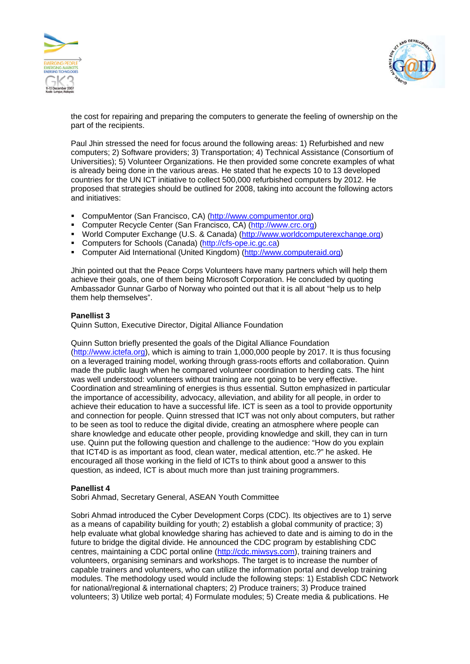



the cost for repairing and preparing the computers to generate the feeling of ownership on the part of the recipients.

Paul Jhin stressed the need for focus around the following areas: 1) Refurbished and new computers; 2) Software providers; 3) Transportation; 4) Technical Assistance (Consortium of Universities); 5) Volunteer Organizations. He then provided some concrete examples of what is already being done in the various areas. He stated that he expects 10 to 13 developed countries for the UN ICT initiative to collect 500,000 refurbished computers by 2012. He proposed that strategies should be outlined for 2008, taking into account the following actors and initiatives:

- CompuMentor (San Francisco, CA) (http://www.compumentor.org)
- Computer Recycle Center (San Francisco, CA) (http://www.crc.org)
- World Computer Exchange (U.S. & Canada) (http://www.worldcomputerexchange.org)
- Computers for Schools (Canada) (http://cfs-ope.ic.gc.ca)
- Computer Aid International (United Kingdom) (http://www.computeraid.org)

Jhin pointed out that the Peace Corps Volunteers have many partners which will help them achieve their goals, one of them being Microsoft Corporation. He concluded by quoting Ambassador Gunnar Garbo of Norway who pointed out that it is all about "help us to help them help themselves".

## **Panellist 3**

Quinn Sutton, Executive Director, Digital Alliance Foundation

Quinn Sutton briefly presented the goals of the Digital Alliance Foundation (http://www.ictefa.org), which is aiming to train 1,000,000 people by 2017. It is thus focusing on a leveraged training model, working through grass-roots efforts and collaboration. Quinn made the public laugh when he compared volunteer coordination to herding cats. The hint was well understood: volunteers without training are not going to be very effective. Coordination and streamlining of energies is thus essential. Sutton emphasized in particular the importance of accessibility, advocacy, alleviation, and ability for all people, in order to achieve their education to have a successful life. ICT is seen as a tool to provide opportunity and connection for people. Quinn stressed that ICT was not only about computers, but rather to be seen as tool to reduce the digital divide, creating an atmosphere where people can share knowledge and educate other people, providing knowledge and skill, they can in turn use. Quinn put the following question and challenge to the audience: "How do you explain that ICT4D is as important as food, clean water, medical attention, etc.?" he asked. He encouraged all those working in the field of ICTs to think about good a answer to this question, as indeed, ICT is about much more than just training programmers.

#### **Panellist 4**

Sobri Ahmad, Secretary General, ASEAN Youth Committee

Sobri Ahmad introduced the Cyber Development Corps (CDC). Its objectives are to 1) serve as a means of capability building for youth; 2) establish a global community of practice; 3) help evaluate what global knowledge sharing has achieved to date and is aiming to do in the future to bridge the digital divide. He announced the CDC program by establishing CDC centres, maintaining a CDC portal online (http://cdc.miwsys.com), training trainers and volunteers, organising seminars and workshops. The target is to increase the number of capable trainers and volunteers, who can utilize the information portal and develop training modules. The methodology used would include the following steps: 1) Establish CDC Network for national/regional & international chapters; 2) Produce trainers; 3) Produce trained volunteers; 3) Utilize web portal; 4) Formulate modules; 5) Create media & publications. He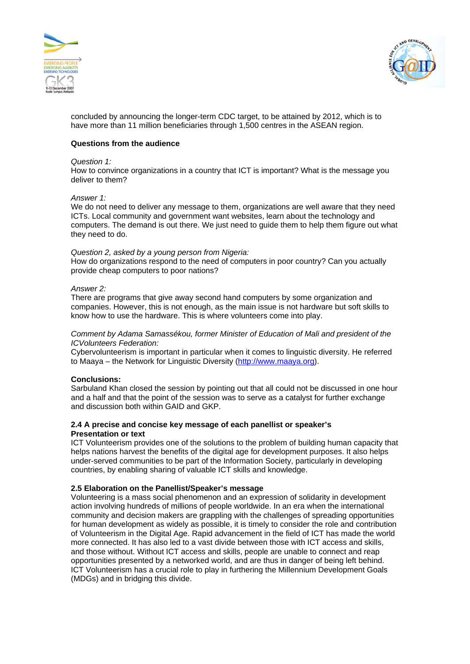



concluded by announcing the longer-term CDC target, to be attained by 2012, which is to have more than 11 million beneficiaries through 1,500 centres in the ASEAN region.

#### **Questions from the audience**

#### *Question 1:*

How to convince organizations in a country that ICT is important? What is the message you deliver to them?

#### *Answer 1:*

We do not need to deliver any message to them, organizations are well aware that they need ICTs. Local community and government want websites, learn about the technology and computers. The demand is out there. We just need to guide them to help them figure out what they need to do.

#### *Question 2, asked by a young person from Nigeria:*

How do organizations respond to the need of computers in poor country? Can you actually provide cheap computers to poor nations?

## *Answer 2:*

There are programs that give away second hand computers by some organization and companies. However, this is not enough, as the main issue is not hardware but soft skills to know how to use the hardware. This is where volunteers come into play.

#### *Comment by Adama Samassékou, former Minister of Education of Mali and president of the ICVolunteers Federation:*

Cybervolunteerism is important in particular when it comes to linguistic diversity. He referred to Maaya – the Network for Linguistic Diversity (http://www.maaya.org).

#### **Conclusions:**

Sarbuland Khan closed the session by pointing out that all could not be discussed in one hour and a half and that the point of the session was to serve as a catalyst for further exchange and discussion both within GAID and GKP.

#### **2.4 A precise and concise key message of each panellist or speaker's Presentation or text**

ICT Volunteerism provides one of the solutions to the problem of building human capacity that helps nations harvest the benefits of the digital age for development purposes. It also helps under-served communities to be part of the Information Society, particularly in developing countries, by enabling sharing of valuable ICT skills and knowledge.

#### **2.5 Elaboration on the Panellist/Speaker's message**

Volunteering is a mass social phenomenon and an expression of solidarity in development action involving hundreds of millions of people worldwide. In an era when the international community and decision makers are grappling with the challenges of spreading opportunities for human development as widely as possible, it is timely to consider the role and contribution of Volunteerism in the Digital Age. Rapid advancement in the field of ICT has made the world more connected. It has also led to a vast divide between those with ICT access and skills, and those without. Without ICT access and skills, people are unable to connect and reap opportunities presented by a networked world, and are thus in danger of being left behind. ICT Volunteerism has a crucial role to play in furthering the Millennium Development Goals (MDGs) and in bridging this divide.